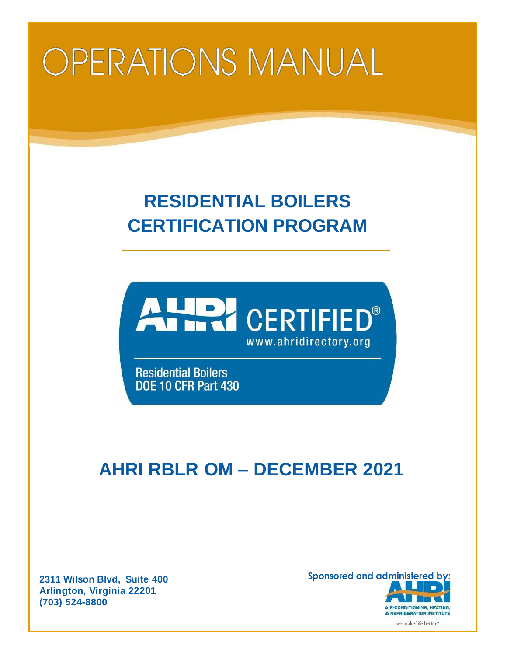# **OPERATIONS MANUAL**

## **RESIDENTIAL BOILERS CERTIFICATION PROGRAM**



**Residential Boilers** DOE 10 CFR Part 430

### **AHRI RBLR OM – DECEMBER 2021**

**Arlington, Virginia 22201 (703) 524-8800**

**2311 Wilson Blvd, Suite 400 Sponsored and administered by: AIR-CONDITIONING, HEATING,** & REFRIGERATION INSTITUTE we make life better<sup>™</sup>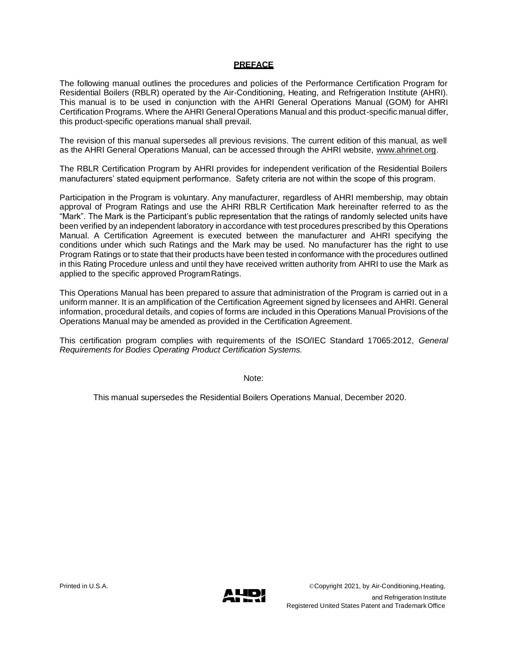#### **PREFACE**

The following manual outlines the procedures and policies of the Performance Certification Program for Residential Boilers (RBLR) operated by the Air-Conditioning, Heating, and Refrigeration Institute (AHRI). This manual is to be used in conjunction with the AHRI General Operations Manual (GOM) for AHRI Certification Programs. Where the AHRI General Operations Manual and this product-specific manual differ, this product-specific operations manual shall prevail.

The revision of this manual supersedes all previous revisions. The current edition of this manual, as well as the AHRI General Operations Manual, can be accessed through the AHRI website, [www.ahrinet.org.](http://www.ahrinet.org/)

The RBLR Certification Program by AHRI provides for independent verification of the Residential Boilers manufacturers' stated equipment performance. Safety criteria are not within the scope of this program.

Participation in the Program is voluntary. Any manufacturer, regardless of AHRI membership, may obtain approval of Program Ratings and use the AHRI RBLR Certification Mark hereinafter referred to as the "Mark". The Mark is the Participant's public representation that the ratings of randomly selected units have been verified by an independent laboratory in accordance with test procedures prescribed by this Operations Manual. A Certification Agreement is executed between the manufacturer and AHRI specifying the conditions under which such Ratings and the Mark may be used. No manufacturer has the right to use Program Ratings or to state that their products have been tested in conformance with the procedures outlined in this Rating Procedure unless and until they have received written authority from AHRI to use the Mark as applied to the specific approved ProgramRatings.

This Operations Manual has been prepared to assure that administration of the Program is carried out in a uniform manner. It is an amplification of the Certification Agreement signed by licensees and AHRI. General information, procedural details, and copies of forms are included in this Operations Manual Provisions of the Operations Manual may be amended as provided in the Certification Agreement.

This certification program complies with requirements of the ISO/IEC Standard 17065:2012, *General Requirements for Bodies Operating Product Certification Systems.*

Note:

This manual supersedes the Residential Boilers Operations Manual, December 2020.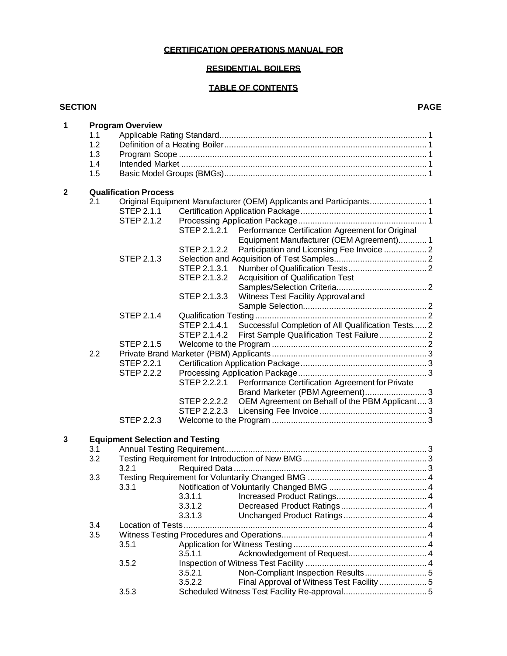#### **CERTIFICATION OPERATIONS MANUAL FOR**

#### **RESIDENTIAL BOILERS**

### **TABLE OF CONTENTS**

#### **SECTION PAGE**

| 1            | <b>Program Overview</b> |                                                                                                    |                    |                                                    |  |  |  |  |  |  |  |
|--------------|-------------------------|----------------------------------------------------------------------------------------------------|--------------------|----------------------------------------------------|--|--|--|--|--|--|--|
|              | 1.1                     |                                                                                                    |                    |                                                    |  |  |  |  |  |  |  |
|              | 1.2                     |                                                                                                    |                    |                                                    |  |  |  |  |  |  |  |
|              | 1.3                     |                                                                                                    |                    |                                                    |  |  |  |  |  |  |  |
|              | 1.4                     |                                                                                                    |                    |                                                    |  |  |  |  |  |  |  |
|              | 1.5                     |                                                                                                    |                    |                                                    |  |  |  |  |  |  |  |
|              |                         |                                                                                                    |                    |                                                    |  |  |  |  |  |  |  |
| $\mathbf{2}$ |                         | <b>Qualification Process</b><br>Original Equipment Manufacturer (OEM) Applicants and Participants1 |                    |                                                    |  |  |  |  |  |  |  |
|              | 2.1                     | STEP 2.1.1                                                                                         |                    |                                                    |  |  |  |  |  |  |  |
|              |                         | STEP 2.1.2                                                                                         |                    |                                                    |  |  |  |  |  |  |  |
|              |                         |                                                                                                    | STEP 2.1.2.1       | Performance Certification Agreement for Original   |  |  |  |  |  |  |  |
|              |                         |                                                                                                    |                    | Equipment Manufacturer (OEM Agreement) 1           |  |  |  |  |  |  |  |
|              |                         |                                                                                                    |                    |                                                    |  |  |  |  |  |  |  |
|              |                         | STEP 2.1.3                                                                                         | STEP 2.1.2.2       | Participation and Licensing Fee Invoice  2         |  |  |  |  |  |  |  |
|              |                         |                                                                                                    | STEP 2.1.3.1       |                                                    |  |  |  |  |  |  |  |
|              |                         |                                                                                                    | STEP 2.1.3.2       | Acquisition of Qualification Test                  |  |  |  |  |  |  |  |
|              |                         |                                                                                                    |                    |                                                    |  |  |  |  |  |  |  |
|              |                         |                                                                                                    | STEP 2.1.3.3       | Witness Test Facility Approval and                 |  |  |  |  |  |  |  |
|              |                         |                                                                                                    |                    |                                                    |  |  |  |  |  |  |  |
|              |                         | STEP 2.1.4                                                                                         |                    |                                                    |  |  |  |  |  |  |  |
|              |                         |                                                                                                    | STEP 2.1.4.1       | Successful Completion of All Qualification Tests 2 |  |  |  |  |  |  |  |
|              |                         |                                                                                                    | STEP 2.1.4.2       |                                                    |  |  |  |  |  |  |  |
|              |                         | <b>STEP 2.1.5</b>                                                                                  |                    |                                                    |  |  |  |  |  |  |  |
|              | 2.2                     |                                                                                                    |                    |                                                    |  |  |  |  |  |  |  |
|              |                         | <b>STEP 2.2.1</b>                                                                                  |                    |                                                    |  |  |  |  |  |  |  |
|              |                         | <b>STEP 2.2.2</b>                                                                                  |                    |                                                    |  |  |  |  |  |  |  |
|              |                         |                                                                                                    | STEP 2.2.2.1       | Performance Certification Agreement for Private    |  |  |  |  |  |  |  |
|              |                         |                                                                                                    |                    | Brand Marketer (PBM Agreement)3                    |  |  |  |  |  |  |  |
|              |                         |                                                                                                    | STEP 2.2.2.2       | OEM Agreement on Behalf of the PBM Applicant 3     |  |  |  |  |  |  |  |
|              |                         |                                                                                                    | STEP 2.2.2.3       |                                                    |  |  |  |  |  |  |  |
|              |                         | <b>STEP 2.2.3</b>                                                                                  |                    |                                                    |  |  |  |  |  |  |  |
|              |                         |                                                                                                    |                    |                                                    |  |  |  |  |  |  |  |
| 3            |                         | <b>Equipment Selection and Testing</b>                                                             |                    |                                                    |  |  |  |  |  |  |  |
|              | 3.1                     |                                                                                                    |                    |                                                    |  |  |  |  |  |  |  |
|              | 3.2                     |                                                                                                    |                    |                                                    |  |  |  |  |  |  |  |
|              |                         | 3.2.1                                                                                              |                    |                                                    |  |  |  |  |  |  |  |
|              | 3.3                     |                                                                                                    |                    |                                                    |  |  |  |  |  |  |  |
|              |                         | 3.3.1                                                                                              |                    |                                                    |  |  |  |  |  |  |  |
|              |                         |                                                                                                    | 3.3.1.1            |                                                    |  |  |  |  |  |  |  |
|              |                         |                                                                                                    | 3.3.1.2            |                                                    |  |  |  |  |  |  |  |
|              |                         |                                                                                                    | 3.3.1.3            |                                                    |  |  |  |  |  |  |  |
|              | 3.4                     | Location of Tests                                                                                  |                    |                                                    |  |  |  |  |  |  |  |
|              | 3.5                     |                                                                                                    |                    |                                                    |  |  |  |  |  |  |  |
|              |                         | 3.5.1                                                                                              |                    |                                                    |  |  |  |  |  |  |  |
|              |                         |                                                                                                    | 3.5.1.1            |                                                    |  |  |  |  |  |  |  |
|              |                         | 3.5.2                                                                                              |                    |                                                    |  |  |  |  |  |  |  |
|              |                         |                                                                                                    | 3.5.2.1<br>3.5.2.2 | Final Approval of Witness Test Facility 5          |  |  |  |  |  |  |  |
|              |                         | 3.5.3                                                                                              |                    |                                                    |  |  |  |  |  |  |  |
|              |                         |                                                                                                    |                    |                                                    |  |  |  |  |  |  |  |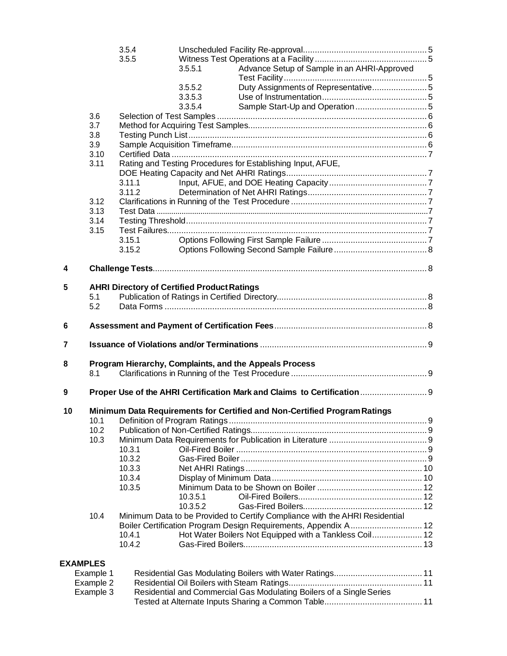|                 |           | 3.5.4                                              |          |                                                                             |  |  |  |  |
|-----------------|-----------|----------------------------------------------------|----------|-----------------------------------------------------------------------------|--|--|--|--|
|                 |           | 3.5.5                                              |          |                                                                             |  |  |  |  |
|                 |           |                                                    | 3.5.5.1  | Advance Setup of Sample in an AHRI-Approved                                 |  |  |  |  |
|                 |           |                                                    | 3.5.5.2  | Duty Assignments of Representative5                                         |  |  |  |  |
|                 |           |                                                    | 3.3.5.3  |                                                                             |  |  |  |  |
|                 |           |                                                    | 3.3.5.4  |                                                                             |  |  |  |  |
|                 | 3.6       |                                                    |          |                                                                             |  |  |  |  |
|                 | 3.7       |                                                    |          |                                                                             |  |  |  |  |
|                 | 3.8       |                                                    |          |                                                                             |  |  |  |  |
|                 | 3.9       |                                                    |          |                                                                             |  |  |  |  |
|                 | 3.10      |                                                    |          |                                                                             |  |  |  |  |
|                 | 3.11      |                                                    |          | Rating and Testing Procedures for Establishing Input, AFUE,                 |  |  |  |  |
|                 |           |                                                    |          |                                                                             |  |  |  |  |
|                 |           | 3.11.1                                             |          |                                                                             |  |  |  |  |
|                 |           | 3.11.2                                             |          |                                                                             |  |  |  |  |
|                 | 3.12      |                                                    |          |                                                                             |  |  |  |  |
|                 | 3.13      |                                                    |          |                                                                             |  |  |  |  |
|                 | 3.14      |                                                    |          |                                                                             |  |  |  |  |
|                 | 3.15      |                                                    |          |                                                                             |  |  |  |  |
|                 |           | 3.15.1                                             |          |                                                                             |  |  |  |  |
|                 |           | 3.15.2                                             |          |                                                                             |  |  |  |  |
| 4               |           |                                                    |          |                                                                             |  |  |  |  |
| 5               |           | <b>AHRI Directory of Certified Product Ratings</b> |          |                                                                             |  |  |  |  |
|                 | 5.1       |                                                    |          |                                                                             |  |  |  |  |
|                 | 5.2       |                                                    |          |                                                                             |  |  |  |  |
|                 |           |                                                    |          |                                                                             |  |  |  |  |
| 6               |           |                                                    |          |                                                                             |  |  |  |  |
| 7               |           |                                                    |          |                                                                             |  |  |  |  |
| 8               |           |                                                    |          | Program Hierarchy, Complaints, and the Appeals Process                      |  |  |  |  |
|                 | 8.1       |                                                    |          |                                                                             |  |  |  |  |
| 9               |           |                                                    |          | Proper Use of the AHRI Certification Mark and Claims to Certification  9    |  |  |  |  |
| 10              |           |                                                    |          | Minimum Data Requirements for Certified and Non-Certified Program Ratings   |  |  |  |  |
|                 | 10.1      |                                                    |          |                                                                             |  |  |  |  |
|                 | 10.2      |                                                    |          |                                                                             |  |  |  |  |
|                 | 10.3      |                                                    |          |                                                                             |  |  |  |  |
|                 |           | 10.3.1                                             |          |                                                                             |  |  |  |  |
|                 |           | 10.3.2                                             |          |                                                                             |  |  |  |  |
|                 |           | 10.3.3                                             |          |                                                                             |  |  |  |  |
|                 |           | 10.3.4                                             |          |                                                                             |  |  |  |  |
|                 |           | 10.3.5                                             |          |                                                                             |  |  |  |  |
|                 |           |                                                    | 10.3.5.1 |                                                                             |  |  |  |  |
|                 |           |                                                    | 10.3.5.2 |                                                                             |  |  |  |  |
|                 | 10.4      |                                                    |          | Minimum Data to be Provided to Certify Compliance with the AHRI Residential |  |  |  |  |
|                 |           |                                                    |          | Boiler Certification Program Design Requirements, Appendix A 12             |  |  |  |  |
|                 |           | 10.4.1                                             |          | Hot Water Boilers Not Equipped with a Tankless Coil 12                      |  |  |  |  |
|                 |           | 10.4.2                                             |          |                                                                             |  |  |  |  |
| <b>EXAMPLES</b> |           |                                                    |          |                                                                             |  |  |  |  |
|                 | Example 1 |                                                    |          |                                                                             |  |  |  |  |
|                 | Example 2 |                                                    |          |                                                                             |  |  |  |  |
|                 | Example 3 |                                                    |          | Residential and Commercial Gas Modulating Boilers of a Single Series        |  |  |  |  |
|                 |           |                                                    |          |                                                                             |  |  |  |  |
|                 |           |                                                    |          |                                                                             |  |  |  |  |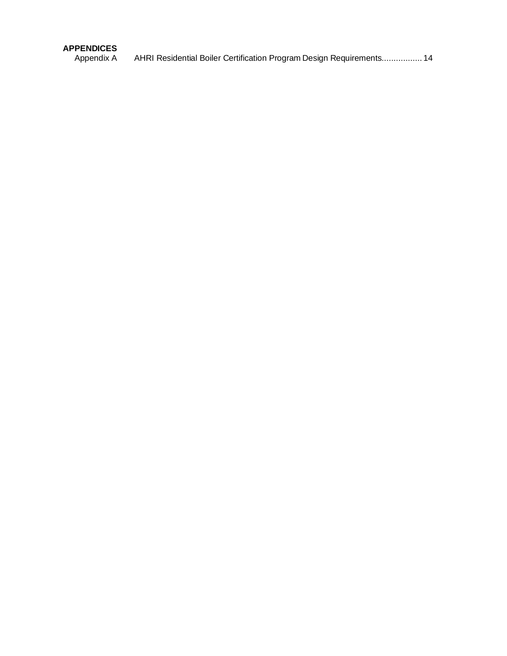### **APPENDICES**

AHRI Residential Boiler Certification Program Design Requirements................. 14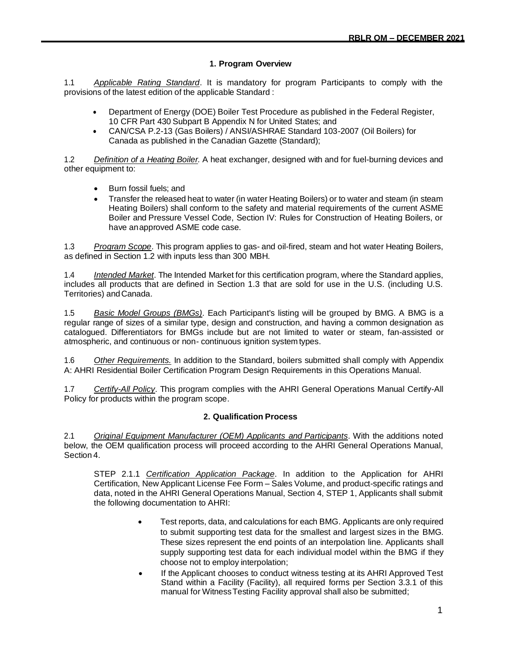#### **1. Program Overview**

1.1 *Applicable Rating Standard*. It is mandatory for program Participants to comply with the provisions of the latest edition of the applicable Standard :

- Department of Energy (DOE) Boiler Test Procedure as published in the Federal Register, 10 CFR Part 430 Subpart B Appendix N for United States; and
- CAN/CSA P.2-13 (Gas Boilers) / ANSI/ASHRAE Standard 103-2007 (Oil Boilers) for Canada as published in the Canadian Gazette (Standard);

1.2 *Definition of a Heating Boiler.* A heat exchanger, designed with and for fuel-burning devices and other equipment to:

- Burn fossil fuels; and
- Transfer the released heat to water (in water Heating Boilers) or to water and steam (in steam Heating Boilers) shall conform to the safety and material requirements of the current ASME Boiler and Pressure Vessel Code, Section IV: Rules for Construction of Heating Boilers, or have anapproved ASME code case.

1.3 *Program Scope*. This program applies to gas- and oil-fired, steam and hot water Heating Boilers, as defined in Section 1.2 with inputs less than 300 MBH.

1.4 *Intended Market*. The Intended Market for this certification program, where the Standard applies, includes all products that are defined in Section 1.3 that are sold for use in the U.S. (including U.S. Territories) andCanada.

1.5 *Basic Model Groups (BMGs)*. Each Participant's listing will be grouped by BMG. A BMG is a regular range of sizes of a similar type, design and construction, and having a common designation as catalogued. Differentiators for BMGs include but are not limited to water or steam, fan-assisted or atmospheric, and continuous or non- continuous ignition system types.

1.6 *Other Requirements.* In addition to the Standard, boilers submitted shall comply with Appendix A: AHRI Residential Boiler Certification Program Design Requirements in this Operations Manual.

1.7 *Certify-All Policy*. This program complies with the AHRI General Operations Manual Certify-All Policy for products within the program scope.

#### **2. Qualification Process**

<span id="page-6-0"></span>2.1 *Original Equipment Manufacturer (OEM) Applicants and Participants*. With the additions noted below, the OEM qualification process will proceed according to the AHRI General Operations Manual, Section 4.

STEP 2.1.1 *Certification Application Package*. In addition to the Application for AHRI Certification, New Applicant License Fee Form – Sales Volume, and product-specific ratings and data, noted in the AHRI General Operations Manual, Section 4, STEP 1, Applicants shall submit the following documentation to AHRI:

- Test reports, data, and calculations for each BMG. Applicants are only required to submit supporting test data for the smallest and largest sizes in the BMG. These sizes represent the end points of an interpolation line. Applicants shall supply supporting test data for each individual model within the BMG if they choose not to employ interpolation;
- If the Applicant chooses to conduct witness testing at its AHRI Approved Test Stand within a Facility (Facility), all required forms per Section 3.3.1 of this manual for WitnessTesting Facility approval shall also be submitted;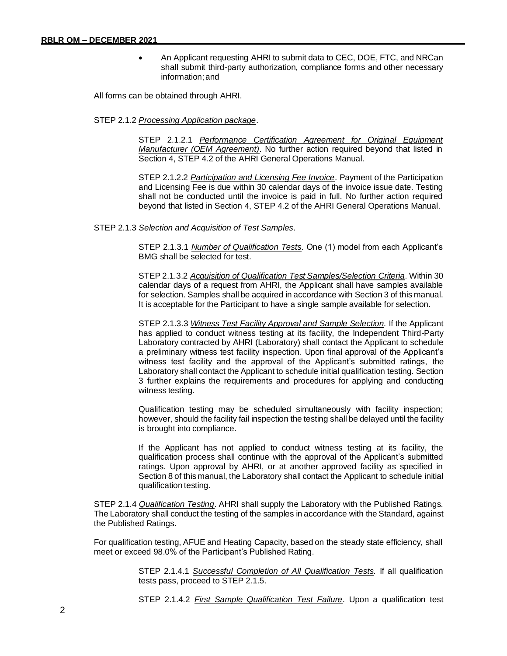• An Applicant requesting AHRI to submit data to CEC, DOE, FTC, and NRCan shall submit third-party authorization, compliance forms and other necessary information;and

All forms can be obtained through AHRI.

#### STEP 2.1.2 *Processing Application package*.

STEP 2.1.2.1 *Performance Certification Agreement for Original Equipment Manufacturer (OEM Agreement)*. No further action required beyond that listed in Section 4, STEP 4.2 of the AHRI General Operations Manual.

STEP 2.1.2.2 *Participation and Licensing Fee Invoice*. Payment of the Participation and Licensing Fee is due within 30 calendar days of the invoice issue date. Testing shall not be conducted until the invoice is paid in full. No further action required beyond that listed in Section 4, STEP 4.2 of the AHRI General Operations Manual.

#### STEP 2.1.3 *Selection and Acquisition of Test Samples*.

STEP 2.1.3.1 *Number of Qualification Tests*. One (1) model from each Applicant's BMG shall be selected for test.

STEP 2.1.3.2 *Acquisition of Qualification Test Samples/Selection Criteria*. Within 30 calendar days of a request from AHRI, the Applicant shall have samples available for selection. Samples shall be acquired in accordance with Section 3 of this manual. It is acceptable for the Participant to have a single sample available for selection.

STEP 2.1.3.3 *Witness Test Facility Approval and Sample Selection.* If the Applicant has applied to conduct witness testing at its facility, the Independent Third-Party Laboratory contracted by AHRI (Laboratory) shall contact the Applicant to schedule a preliminary witness test facility inspection. Upon final approval of the Applicant's witness test facility and the approval of the Applicant's submitted ratings, the Laboratory shall contact the Applicant to schedule initial qualification testing. Section 3 further explains the requirements and procedures for applying and conducting witness testing.

Qualification testing may be scheduled simultaneously with facility inspection; however, should the facility fail inspection the testing shall be delayed until the facility is brought into compliance.

If the Applicant has not applied to conduct witness testing at its facility, the qualification process shall continue with the approval of the Applicant's submitted ratings. Upon approval by AHRI, or at another approved facility as specified in Section 8 of this manual, the Laboratory shall contact the Applicant to schedule initial qualification testing.

STEP 2.1.4 *Qualification Testing*. AHRI shall supply the Laboratory with the Published Ratings. The Laboratory shall conduct the testing of the samples in accordance with the Standard, against the Published Ratings.

For qualification testing, AFUE and Heating Capacity, based on the steady state efficiency, shall meet or exceed 98.0% of the Participant's Published Rating.

> STEP 2.1.4.1 *Successful Completion of All Qualification Tests.* If all qualification tests pass, proceed to STEP 2.1.5.

> STEP 2.1.4.2 *First Sample Qualification Test Failure*. Upon a qualification test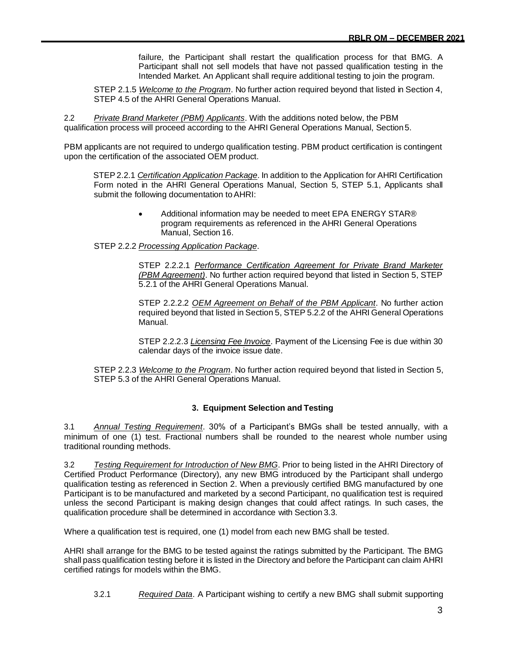failure, the Participant shall restart the qualification process for that BMG. A Participant shall not sell models that have not passed qualification testing in the Intended Market. An Applicant shall require additional testing to join the program.

STEP 2.1.5 *Welcome to the Program*. No further action required beyond that listed in Section 4, STEP 4.5 of the AHRI General Operations Manual.

2.2 *Private Brand Marketer (PBM) Applicants*. With the additions noted below, the PBM qualification process will proceed according to the AHRI General Operations Manual, Section5.

PBM applicants are not required to undergo qualification testing. PBM product certification is contingent upon the certification of the associated OEM product.

STEP2.2.1 *Certification Application Package*. In addition to the Application for AHRI Certification Form noted in the AHRI General Operations Manual, Section 5, STEP 5.1, Applicants shall submit the following documentation to AHRI:

> • Additional information may be needed to meet EPA ENERGY STAR® program requirements as referenced in the AHRI General Operations Manual, Section 16.

STEP 2.2.2 *Processing Application Package*.

STEP 2.2.2.1 *Performance Certification Agreement for Private Brand Marketer (PBM Agreement)*. No further action required beyond that listed in Section 5, STEP 5.2.1 of the AHRI General Operations Manual.

STEP 2.2.2.2 *OEM Agreement on Behalf of the PBM Applicant*. No further action required beyond that listed in Section 5, STEP 5.2.2 of the AHRI General Operations Manual.

STEP 2.2.2.3 *Licensing Fee Invoice*. Payment of the Licensing Fee is due within 30 calendar days of the invoice issue date.

STEP 2.2.3 *Welcome to the Program*. No further action required beyond that listed in Section 5, STEP 5.3 of the AHRI General Operations Manual.

#### **3. Equipment Selection and Testing**

<span id="page-8-0"></span>3.1 *Annual Testing Requirement*. 30% of a Participant's BMGs shall be tested annually, with a minimum of one (1) test. Fractional numbers shall be rounded to the nearest whole number using traditional rounding methods.

3.2 *Testing Requirement for Introduction of New BMG*. Prior to being listed in the AHRI Directory of Certified Product Performance (Directory), any new BMG introduced by the Participant shall undergo qualification testing as referenced in Section 2. When a previously certified BMG manufactured by one Participant is to be manufactured and marketed by a second Participant, no qualification test is required unless the second Participant is making design changes that could affect ratings. In such cases, the qualification procedure shall be determined in accordance with Section 3.3.

Where a qualification test is required, one (1) model from each new BMG shall be tested.

AHRI shall arrange for the BMG to be tested against the ratings submitted by the Participant. The BMG shall pass qualification testing before it is listed in the Directory and before the Participant can claim AHRI certified ratings for models within the BMG.

3.2.1 *Required Data*. A Participant wishing to certify a new BMG shall submit supporting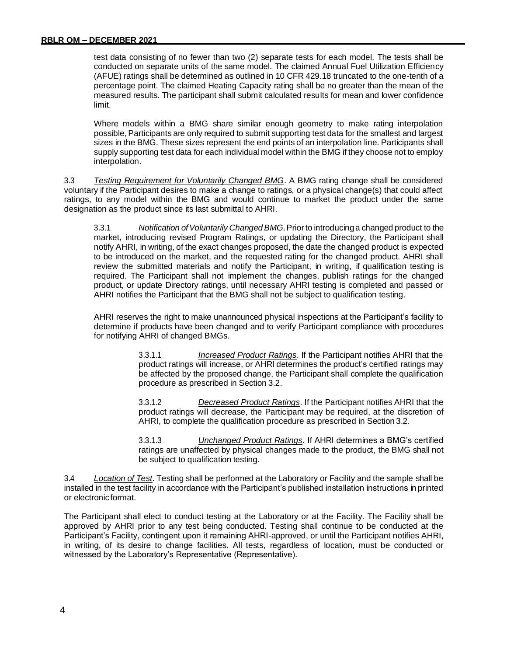test data consisting of no fewer than two (2) separate tests for each model. The tests shall be conducted on separate units of the same model. The claimed Annual Fuel Utilization Efficiency (AFUE) ratings shall be determined as outlined in 10 CFR 429.18 truncated to the one-tenth of a percentage point. The claimed Heating Capacity rating shall be no greater than the mean of the measured results. The participant shall submit calculated results for mean and lower confidence limit.

Where models within a BMG share similar enough geometry to make rating interpolation possible, Participants are only required to submit supporting test data for the smallest and largest sizes in the BMG. These sizes represent the end points of an interpolation line. Participants shall supply supporting test data for each individual model within the BMG if they choose not to employ interpolation.

3.3 *Testing Requirement for Voluntarily Changed BMG*. A BMG rating change shall be considered voluntary if the Participant desires to make a change to ratings, or a physical change(s) that could affect ratings, to any model within the BMG and would continue to market the product under the same designation as the product since its last submittal to AHRI.

3.3.1 *Notification ofVoluntarily ChangedBMG*.Priorto introducinga changed product to the market, introducing revised Program Ratings, or updating the Directory, the Participant shall notify AHRI, in writing, of the exact changes proposed, the date the changed product is expected to be introduced on the market, and the requested rating for the changed product. AHRI shall review the submitted materials and notify the Participant, in writing, if qualification testing is required. The Participant shall not implement the changes, publish ratings for the changed product, or update Directory ratings, until necessary AHRI testing is completed and passed or AHRI notifies the Participant that the BMG shall not be subject to qualification testing.

AHRI reserves the right to make unannounced physical inspections at the Participant's facility to determine if products have been changed and to verify Participant compliance with procedures for notifying AHRI of changed BMGs.

> 3.3.1.1 *Increased Product Ratings*. If the Participant notifies AHRI that the product ratings will increase, or AHRI determines the product's certified ratings may be affected by the proposed change, the Participant shall complete the qualification procedure as prescribed in Section 3.2.

> 3.3.1.2 *Decreased Product Ratings*. If the Participant notifies AHRI that the product ratings will decrease, the Participant may be required, at the discretion of AHRI, to complete the qualification procedure as prescribed in Section 3.2.

> 3.3.1.3 *Unchanged Product Ratings*. If AHRI determines a BMG's certified ratings are unaffected by physical changes made to the product, the BMG shall not be subject to qualification testing.

3.4 *Location of Test*. Testing shall be performed at the Laboratory or Facility and the sample shall be installed in the test facility in accordance with the Participant's published installation instructions in printed or electronicformat.

The Participant shall elect to conduct testing at the Laboratory or at the Facility. The Facility shall be approved by AHRI prior to any test being conducted. Testing shall continue to be conducted at the Participant's Facility, contingent upon it remaining AHRI-approved, or until the Participant notifies AHRI, in writing, of its desire to change facilities. All tests, regardless of location, must be conducted or witnessed by the Laboratory's Representative (Representative).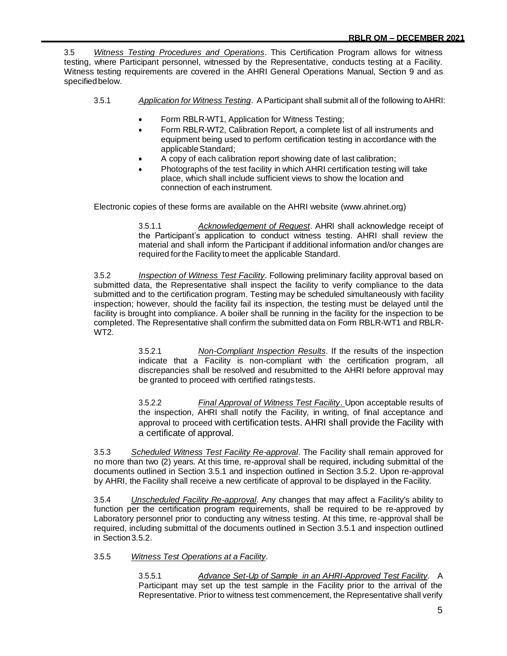3.5 *Witness Testing Procedures and Operations*. This Certification Program allows for witness testing, where Participant personnel, witnessed by the Representative, conducts testing at a Facility. Witness testing requirements are covered in the AHRI General Operations Manual, Section 9 and as specified below.

- 3.5.1 *Application for Witness Testing*. A Participant shall submit all of the following toAHRI:
	- Form RBLR-WT1, Application for Witness Testing;
	- Form RBLR-WT2, Calibration Report, a complete list of all instruments and equipment being used to perform certification testing in accordance with the applicable Standard;
	- A copy of each calibration report showing date of last calibration;
	- Photographs of the test facility in which AHRI certification testing will take place, which shall include sufficient views to show the location and connection of each instrument.

Electronic copies of these forms are available on the AHRI website (www.ahrinet.org)

3.5.1.1 *Acknowledgement of Request*. AHRI shall acknowledge receipt of the Participant's application to conduct witness testing. AHRI shall review the material and shall inform the Participant if additional information and/or changes are required forthe Facility tomeet the applicable Standard.

3.5.2 *Inspection of Witness Test Facility*. Following preliminary facility approval based on submitted data, the Representative shall inspect the facility to verify compliance to the data submitted and to the certification program. Testing may be scheduled simultaneously with facility inspection; however, should the facility fail its inspection, the testing must be delayed until the facility is brought into compliance. A boiler shall be running in the facility for the inspection to be completed. The Representative shall confirm the submitted data on Form RBLR-WT1 and RBLR-WT2.

> 3.5.2.1 *Non-Compliant Inspection Results*. If the results of the inspection indicate that a Facility is non-compliant with the certification program, all discrepancies shall be resolved and resubmitted to the AHRI before approval may be granted to proceed with certified ratingstests.

> 3.5.2.2 *Final Approval of Witness Test Facility*. Upon acceptable results of the inspection, AHRI shall notify the Facility, in writing, of final acceptance and approval to proceed with certification tests. AHRI shall provide the Facility with a certificate of approval.

3.5.3 *Scheduled Witness Test Facility Re-approval*. The Facility shall remain approved for no more than two (2) years. At this time, re-approval shall be required, including submittal of the documents outlined in Section 3.5.1 and inspection outlined in Section 3.5.2. Upon re-approval by AHRI, the Facility shall receive a new certificate of approval to be displayed in the Facility.

3.5.4 *Unscheduled Facility Re-approval*. Any changes that may affect a Facility's ability to function per the certification program requirements, shall be required to be re-approved by Laboratory personnel prior to conducting any witness testing. At this time, re-approval shall be required, including submittal of the documents outlined in Section 3.5.1 and inspection outlined in Section 3.5.2.

#### 3.5.5 *Witness Test Operations at a Facility*.

3.5.5.1 *Advance Set-Up of Sample in an AHRI-Approved Test Facility*. A Participant may set up the test sample in the Facility prior to the arrival of the Representative. Prior to witness test commencement, the Representative shall verify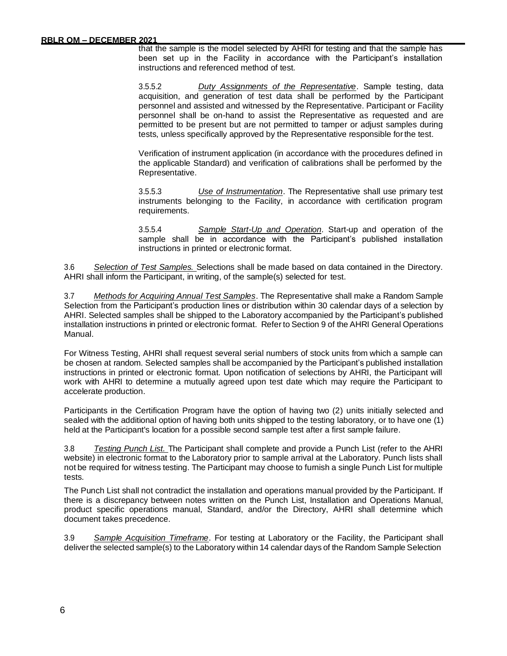that the sample is the model selected by AHRI for testing and that the sample has been set up in the Facility in accordance with the Participant's installation instructions and referenced method of test.

3.5.5.2 *Duty Assignments of the Representative*. Sample testing, data acquisition, and generation of test data shall be performed by the Participant personnel and assisted and witnessed by the Representative. Participant or Facility personnel shall be on-hand to assist the Representative as requested and are permitted to be present but are not permitted to tamper or adjust samples during tests, unless specifically approved by the Representative responsible forthe test.

Verification of instrument application (in accordance with the procedures defined in the applicable Standard) and verification of calibrations shall be performed by the Representative.

3.5.5.3 *Use of Instrumentation*. The Representative shall use primary test instruments belonging to the Facility, in accordance with certification program requirements.

3.5.5.4 *Sample Start-Up and Operation*. Start-up and operation of the sample shall be in accordance with the Participant's published installation instructions in printed or electronic format.

3.6 *Selection of Test Samples.* Selections shall be made based on data contained in the Directory. AHRI shall inform the Participant, in writing, of the sample(s) selected for test.

3.7 *Methods for Acquiring Annual Test Samples*. The Representative shall make a Random Sample Selection from the Participant's production lines or distribution within 30 calendar days of a selection by AHRI. Selected samples shall be shipped to the Laboratory accompanied by the Participant's published installation instructions in printed or electronic format. Refer to Section 9 of the AHRI General Operations Manual.

For Witness Testing, AHRI shall request several serial numbers of stock units from which a sample can be chosen at random. Selected samples shall be accompanied by the Participant's published installation instructions in printed or electronic format. Upon notification of selections by AHRI, the Participant will work with AHRI to determine a mutually agreed upon test date which may require the Participant to accelerate production.

Participants in the Certification Program have the option of having two (2) units initially selected and sealed with the additional option of having both units shipped to the testing laboratory, or to have one (1) held at the Participant's location for a possible second sample test after a first sample failure.

3.8 *Testing Punch List.* The Participant shall complete and provide a Punch List (refer to the AHRI website) in electronic format to the Laboratory prior to sample arrival at the Laboratory. Punch lists shall not be required for witness testing. The Participant may choose to furnish a single Punch List for multiple tests.

The Punch List shall not contradict the installation and operations manual provided by the Participant. If there is a discrepancy between notes written on the Punch List, Installation and Operations Manual, product specific operations manual, Standard, and/or the Directory, AHRI shall determine which document takes precedence.

3.9 *Sample Acquisition Timeframe*. For testing at Laboratory or the Facility, the Participant shall deliverthe selected sample(s) to the Laboratory within 14 calendar days of the Random Sample Selection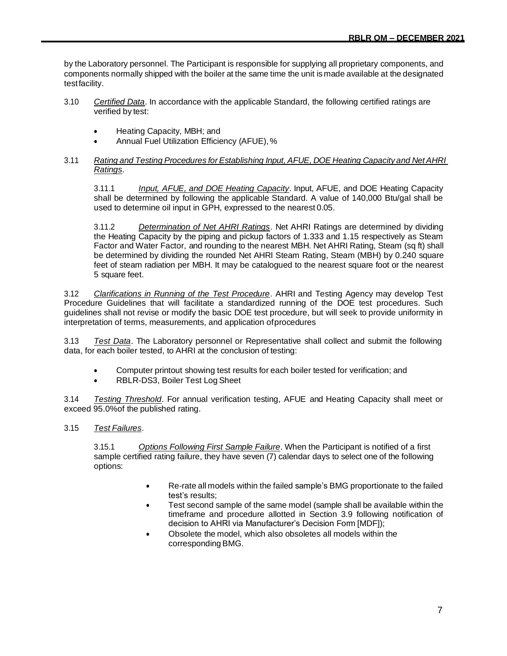by the Laboratory personnel. The Participant is responsible for supplying all proprietary components, and components normally shipped with the boiler at the same time the unit is made available at the designated testfacility.

- 3.10 *Certified Data*. In accordance with the applicable Standard, the following certified ratings are verified by test:
	- Heating Capacity, MBH; and
	- Annual Fuel Utilization Efficiency (AFUE),%
- 3.11 *Rating and Testing Procedures for Establishing Input, AFUE, DOE Heating Capacity and NetAHRI Ratings*.

3.11.1 *Input, AFUE, and DOE Heating Capacity*. Input, AFUE, and DOE Heating Capacity shall be determined by following the applicable Standard. A value of 140,000 Btu/gal shall be used to determine oil input in GPH, expressed to the nearest 0.05.

3.11.2 *Determination of Net AHRI Ratings*. Net AHRI Ratings are determined by dividing the Heating Capacity by the piping and pickup factors of 1.333 and 1.15 respectively as Steam Factor and Water Factor, and rounding to the nearest MBH. Net AHRI Rating, Steam (sq ft) shall be determined by dividing the rounded Net AHRI Steam Rating, Steam (MBH) by 0.240 square feet of steam radiation per MBH. It may be catalogued to the nearest square foot or the nearest 5 square feet.

3.12 *Clarifications in Running of the Test Procedure*. AHRI and Testing Agency may develop Test Procedure Guidelines that will facilitate a standardized running of the DOE test procedures. Such guidelines shall not revise or modify the basic DOE test procedure, but will seek to provide uniformity in interpretation of terms, measurements, and application ofprocedures

3.13 *Test Data*. The Laboratory personnel or Representative shall collect and submit the following data, for each boiler tested, to AHRI at the conclusion of testing:

- Computer printout showing test results for each boiler tested for verification; and
- RBLR-DS3, Boiler Test Log Sheet

3.14 *Testing Threshold*. For annual verification testing, AFUE and Heating Capacity shall meet or exceed 95.0%of the published rating.

3.15 *Test Failures*.

3.15.1 *Options Following First Sample Failure*. When the Participant is notified of a first sample certified rating failure, they have seven (7) calendar days to select one of the following options:

- Re-rate all models within the failed sample's BMG proportionate to the failed test's results;
- Test second sample of the same model (sample shall be available within the timeframe and procedure allotted in Section 3.9 following notification of decision to AHRI via Manufacturer's Decision Form [MDF]);
- Obsolete the model, which also obsoletes all models within the corresponding BMG.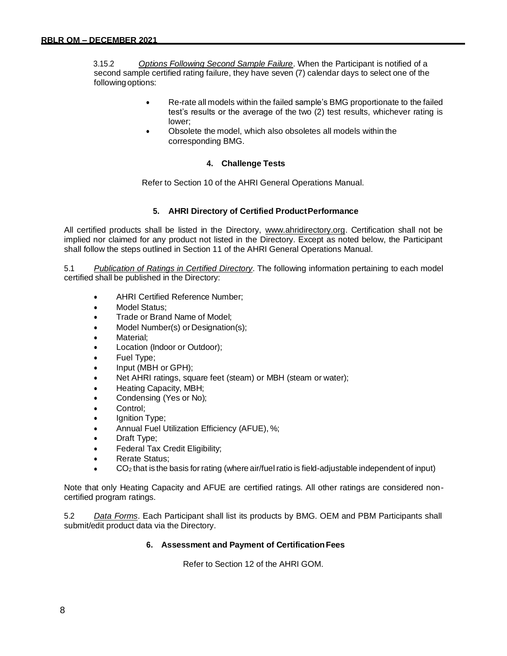3.15.2 *Options Following Second Sample Failure*. When the Participant is notified of a second sample certified rating failure, they have seven (7) calendar days to select one of the followingoptions:

- Re-rate all models within the failed sample's BMG proportionate to the failed test's results or the average of the two (2) test results, whichever rating is lower;
- Obsolete the model, which also obsoletes all models within the corresponding BMG.

#### **4. Challenge Tests**

Refer to Section 10 of the AHRI General Operations Manual.

#### **5. AHRI Directory of Certified ProductPerformance**

All certified products shall be listed in the Directory, [www.ahridirectory.org.](http://www.ahridirectory.org/) Certification shall not be implied nor claimed for any product not listed in the Directory. Except as noted below, the Participant shall follow the steps outlined in Section 11 of the AHRI General Operations Manual.

5.1 *Publication of Ratings in Certified Directory*. The following information pertaining to each model certified shall be published in the Directory:

- AHRI Certified Reference Number;
- Model Status;
- Trade or Brand Name of Model;
- Model Number(s) or Designation(s);
- Material:
- Location (Indoor or Outdoor);
- Fuel Type;
- Input (MBH or GPH);
- Net AHRI ratings, square feet (steam) or MBH (steam or water);
- Heating Capacity, MBH;
- Condensing (Yes or No);
- Control:
- Ignition Type;
- Annual Fuel Utilization Efficiency (AFUE), %;
- Draft Type;
- Federal Tax Credit Eligibility;
- Rerate Status:
- $CO<sub>2</sub>$  that is the basis for rating (where air/fuel ratio is field-adjustable independent of input)

Note that only Heating Capacity and AFUE are certified ratings. All other ratings are considered noncertified program ratings.

5.2 *Data Forms*. Each Participant shall list its products by BMG. OEM and PBM Participants shall submit/edit product data via the Directory.

#### **6. Assessment and Payment of CertificationFees**

Refer to Section 12 of the AHRI GOM.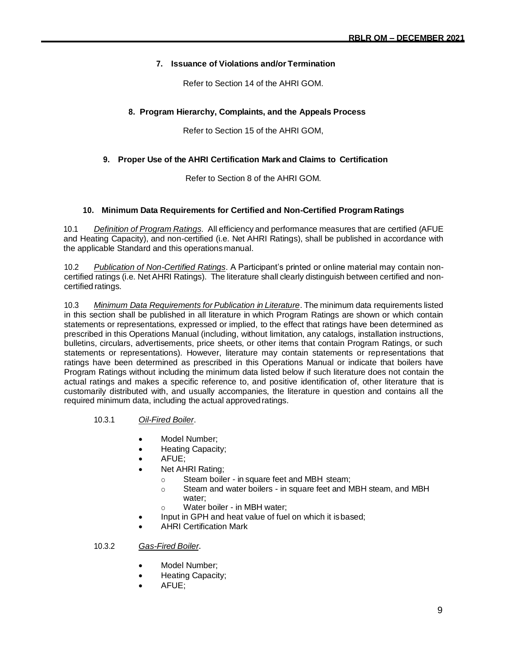#### **7. Issuance of Violations and/or Termination**

Refer to Section 14 of the AHRI GOM.

#### **8. Program Hierarchy, Complaints, and the Appeals Process**

Refer to Section 15 of the AHRI GOM,

#### **9. Proper Use of the AHRI Certification Mark and Claims to Certification**

Refer to Section 8 of the AHRI GOM.

#### **10. Minimum Data Requirements for Certified and Non-Certified Program Ratings**

10.1 *Definition of Program Ratings*. All efficiency and performance measures that are certified (AFUE and Heating Capacity), and non-certified (i.e. Net AHRI Ratings), shall be published in accordance with the applicable Standard and this operations manual.

10.2 *Publication of Non-Certified Ratings*. A Participant's printed or online material may contain noncertified ratings (i.e. Net AHRI Ratings). The literature shall clearly distinguish between certified and noncertified ratings.

10.3 *Minimum Data Requirements for Publication in Literature*. The minimum data requirements listed in this section shall be published in all literature in which Program Ratings are shown or which contain statements or representations, expressed or implied, to the effect that ratings have been determined as prescribed in this Operations Manual (including, without limitation, any catalogs, installation instructions, bulletins, circulars, advertisements, price sheets, or other items that contain Program Ratings, or such statements or representations). However, literature may contain statements or representations that ratings have been determined as prescribed in this Operations Manual or indicate that boilers have Program Ratings without including the minimum data listed below if such literature does not contain the actual ratings and makes a specific reference to, and positive identification of, other literature that is customarily distributed with, and usually accompanies, the literature in question and contains all the required minimum data, including the actual approvedratings.

#### 10.3.1 *Oil-Fired Boiler*.

- Model Number;
- Heating Capacity;
- AFUE;
- Net AHRI Rating;
	- o Steam boiler in square feet and MBH steam;
	- o Steam and water boilers in square feet and MBH steam, and MBH water;
	- o Water boiler in MBH water;
- Input in GPH and heat value of fuel on which it isbased;
- AHRI Certification Mark

#### 10.3.2 *Gas-Fired Boiler*.

- Model Number;
- Heating Capacity;
- AFUE;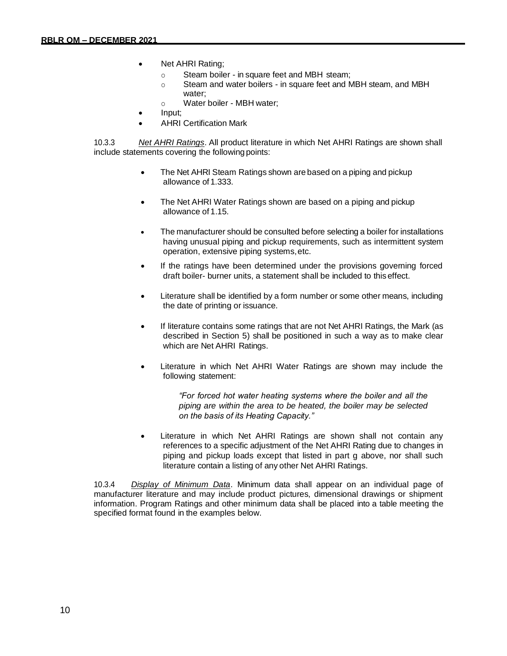- Net AHRI Rating;
	- o Steam boiler in square feet and MBH steam;
	- o Steam and water boilers in square feet and MBH steam, and MBH water;
	- o Water boiler MBH water;
- Input;
- AHRI Certification Mark

10.3.3 *Net AHRI Ratings*. All product literature in which Net AHRI Ratings are shown shall include statements covering the following points:

- The Net AHRI Steam Ratings shown are based on a piping and pickup allowance of 1.333.
- The Net AHRI Water Ratings shown are based on a piping and pickup allowance of 1.15.
- The manufacturer should be consulted before selecting a boiler for installations having unusual piping and pickup requirements, such as intermittent system operation, extensive piping systems,etc.
- If the ratings have been determined under the provisions governing forced draft boiler- burner units, a statement shall be included to this effect.
- Literature shall be identified by a form number or some other means, including the date of printing or issuance.
- If literature contains some ratings that are not Net AHRI Ratings, the Mark (as described in Section 5) shall be positioned in such a way as to make clear which are Net AHRI Ratings.
- Literature in which Net AHRI Water Ratings are shown may include the following statement:

*"For forced hot water heating systems where the boiler and all the piping are within the area to be heated, the boiler may be selected on the basis of its Heating Capacity."*

Literature in which Net AHRI Ratings are shown shall not contain any references to a specific adjustment of the Net AHRI Rating due to changes in piping and pickup loads except that listed in part g above, nor shall such literature contain a listing of any other Net AHRI Ratings.

10.3.4 *Display of Minimum Data*. Minimum data shall appear on an individual page of manufacturer literature and may include product pictures, dimensional drawings or shipment information. Program Ratings and other minimum data shall be placed into a table meeting the specified format found in the examples below.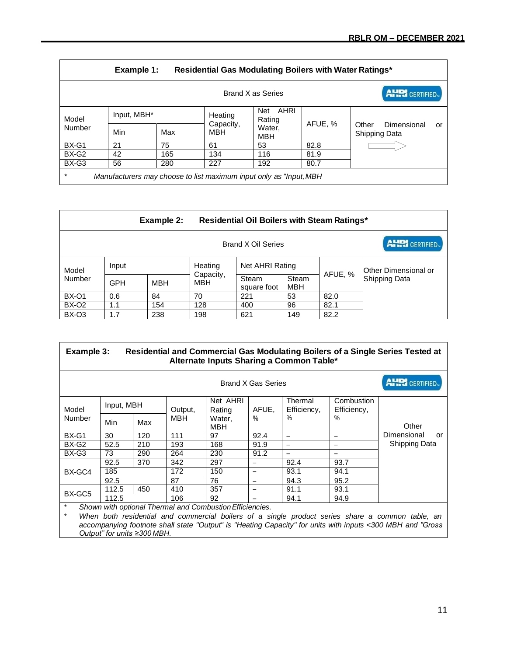|                                                                               | Example 1:<br>Residential Gas Modulating Boilers with Water Ratings* |     |                         |                       |         |                                                    |  |  |  |  |
|-------------------------------------------------------------------------------|----------------------------------------------------------------------|-----|-------------------------|-----------------------|---------|----------------------------------------------------|--|--|--|--|
| <b>AHRI</b> CERTIFIED.<br>Brand X as Series                                   |                                                                      |     |                         |                       |         |                                                    |  |  |  |  |
| Model                                                                         | Input, MBH*                                                          |     | Heating                 | AHRI<br>Net<br>Rating |         |                                                    |  |  |  |  |
| Number                                                                        | Min                                                                  | Max | Capacity,<br><b>MBH</b> | Water,<br>MBH         | AFUE, % | Dimensional<br>Other<br>or<br><b>Shipping Data</b> |  |  |  |  |
| BX-G1                                                                         | 21                                                                   | 75  | 61                      | 53                    | 82.8    |                                                    |  |  |  |  |
| BX-G2                                                                         | 42                                                                   | 165 | 134                     | 116                   | 81.9    |                                                    |  |  |  |  |
| BX-G3                                                                         | 56                                                                   | 280 | 227                     | 192                   | 80.7    |                                                    |  |  |  |  |
| $\star$<br>Manufacturers may choose to list maximum input only as "Input, MBH |                                                                      |     |                         |                       |         |                                                    |  |  |  |  |

|                                             |            | Example 2:<br><b>Residential Oil Boilers with Steam Ratings*</b> |                             |                      |                     |         |                      |  |
|---------------------------------------------|------------|------------------------------------------------------------------|-----------------------------|----------------------|---------------------|---------|----------------------|--|
| <b>AHRI</b> CERTIFIED<br>Brand X Oil Series |            |                                                                  |                             |                      |                     |         |                      |  |
| Model<br>Number                             | Input      |                                                                  | Heating<br>Capacity,<br>MBH | Net AHRI Rating      |                     |         | Other Dimensional or |  |
|                                             | <b>GPH</b> | MBH                                                              |                             | Steam<br>square foot | Steam<br><b>MBH</b> | AFUE, % | Shipping Data        |  |
| <b>BX-01</b>                                | 0.6        | 84                                                               | 70                          | 221                  | 53                  | 82.0    |                      |  |
| BX-O <sub>2</sub>                           | 1.1        | 154                                                              | 128                         | 400                  | 96                  | 82.1    |                      |  |
| BX-O3                                       | 1.7        | 238                                                              | 198                         | 621                  | 149                 | 82.2    |                      |  |

| Example 3:                                                          |            |     |                       |                                |               | Alternate Inputs Sharing a Common Table* |                     | Residential and Commercial Gas Modulating Boilers of a Single Series Tested at |                       |
|---------------------------------------------------------------------|------------|-----|-----------------------|--------------------------------|---------------|------------------------------------------|---------------------|--------------------------------------------------------------------------------|-----------------------|
| Brand X Gas Series                                                  |            |     |                       |                                |               |                                          |                     |                                                                                | <b>ALRI</b> CERTIFIED |
| Model<br>Number                                                     | Input, MBH |     |                       | Net AHRI                       |               | Thermal                                  | Combustion          |                                                                                |                       |
|                                                                     | Min        | Max | Output,<br><b>MBH</b> | Rating<br>Water.<br><b>MBH</b> | AFUE,<br>$\%$ | Efficiency,<br>%                         | Efficiency,<br>$\%$ | Other                                                                          |                       |
| BX-G1                                                               | 30         | 120 | 111                   | 97                             | 92.4          | $\overline{\phantom{0}}$                 |                     | Dimensional                                                                    | or                    |
| BX-G2                                                               | 52.5       | 210 | 193                   | 168                            | 91.9          | -                                        |                     | Shipping Data                                                                  |                       |
| BX-G3                                                               | 73         | 290 | 264                   | 230                            | 91.2          |                                          |                     |                                                                                |                       |
|                                                                     | 92.5       | 370 | 342                   | 297                            |               | 92.4                                     | 93.7                |                                                                                |                       |
| BX-GC4                                                              | 185        |     | 172                   | 150                            | -             | 93.1                                     | 94.1                |                                                                                |                       |
|                                                                     | 92.5       |     | 87                    | 76                             | -             | 94.3                                     | 95.2                |                                                                                |                       |
| BX-GC5                                                              | 112.5      | 450 | 410                   | 357                            | ۳             | 91.1                                     | 93.1                |                                                                                |                       |
|                                                                     | 112.5      |     | 106                   | 92                             |               | 94.1                                     | 94.9                |                                                                                |                       |
| $\star$<br>Shown with optional Thermal and Combustion Efficiencies. |            |     |                       |                                |               |                                          |                     |                                                                                |                       |

*\* When both residential and commercial boilers of a single product series share a common table, an accompanying footnote shall state "Output" is "Heating Capacity" for units with inputs <300 MBH and "Gross Output" for units ≥300 MBH.*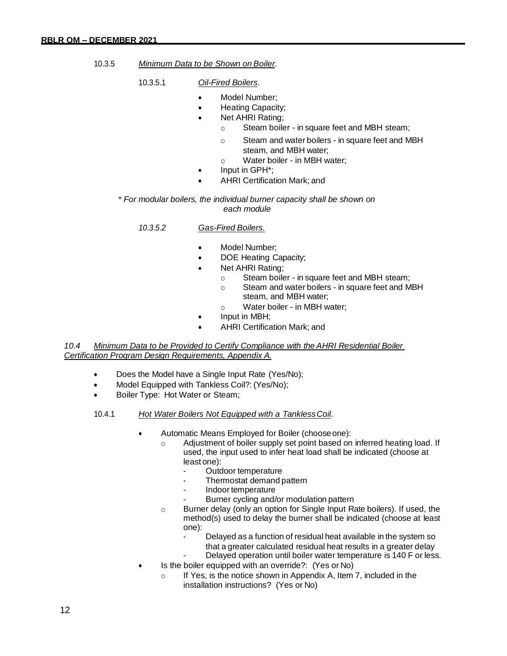- 10.3.5 *Minimum Data to be Shown on Boiler*.
	- 10.3.5.1 *Oil-Fired Boilers*.
		- Model Number:
		- Heating Capacity;
		- Net AHRI Rating;
			- o Steam boiler in square feet and MBH steam;
			- o Steam and water boilers in square feet and MBH steam, and MBH water;
			- o Water boiler in MBH water;
		- Input in GPH\*;
		- AHRI Certification Mark; and

*\* For modular boilers, the individual burner capacity shall be shown on each module*

#### *10.3.5.2 Gas-Fired Boilers.*

- Model Number:
- DOE Heating Capacity;
- Net AHRI Rating;
	- o Steam boiler in square feet and MBH steam;
	- o Steam and water boilers in square feet and MBH steam, and MBH water;
	- o Water boiler in MBH water;
- Input in MBH;
- AHRI Certification Mark; and

*10.4 Minimum Data to be Provided to Certify Compliance with the AHRI Residential Boiler Certification Program Design Requirements, Appendix A.*

- Does the Model have a Single Input Rate (Yes/No);
- Model Equipped with Tankless Coil?: (Yes/No);
- Boiler Type: Hot Water or Steam;
- 10.4.1 *Hot Water Boilers Not Equipped with a TanklessCoil*.
	- Automatic Means Employed for Boiler (chooseone):
		- Adjustment of boiler supply set point based on inferred heating load. If used, the input used to infer heat load shall be indicated (choose at least one):
			- Outdoor temperature
			- Thermostat demand pattern
			- Indoor temperature
			- Burner cycling and/or modulation pattern
		- o Burner delay (only an option for Single Input Rate boilers). If used, the method(s) used to delay the burner shall be indicated (choose at least one):
			- Delayed as a function of residual heat available in the system so that a greater calculated residual heat results in a greater delay
			- Delayed operation until boiler water temperature is 140 F or less.
	- Is the boiler equipped with an override?: (Yes or No)
		- o If Yes, is the notice shown in Appendix A, Item 7, included in the installation instructions? (Yes or No)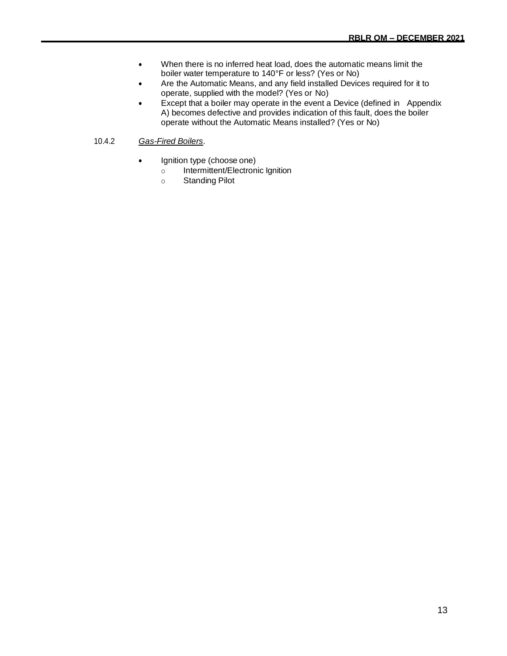- When there is no inferred heat load, does the automatic means limit the boiler water temperature to 140°F or less? (Yes or No)
- Are the Automatic Means, and any field installed Devices required for it to operate, supplied with the model? (Yes or No)
- Except that a boiler may operate in the event a Device (defined in Appendix A) becomes defective and provides indication of this fault, does the boiler operate without the Automatic Means installed? (Yes or No)
- 10.4.2 *Gas-Fired Boilers*.
	- Ignition type (choose one)
		- o Intermittent/Electronic Ignition
		- o Standing Pilot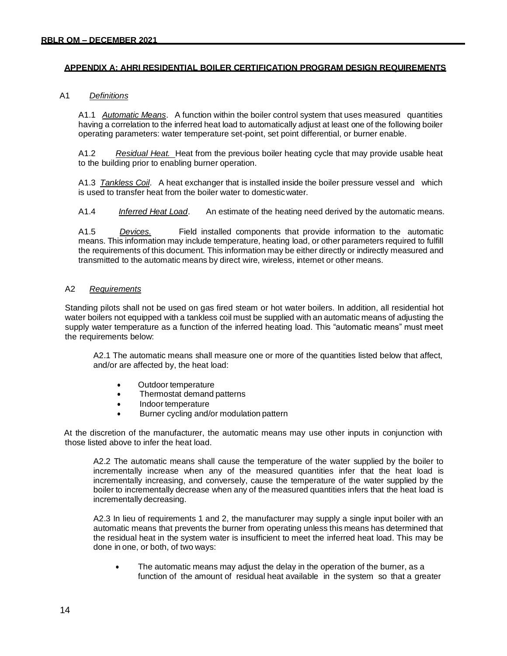#### **APPENDIX A: AHRI RESIDENTIAL BOILER CERTIFICATION PROGRAM DESIGN REQUIREMENTS**

#### A1 *Definitions*

A1.1 *Automatic Means*. A function within the boiler control system that uses measured quantities having a correlation to the inferred heat load to automatically adjust at least one of the following boiler operating parameters: water temperature set-point, set point differential, or burner enable.

A1.2 *Residual Heat.* Heat from the previous boiler heating cycle that may provide usable heat to the building prior to enabling burner operation.

A1.3 *Tankless Coil*. A heat exchanger that is installed inside the boiler pressure vessel and which is used to transfer heat from the boiler water to domestic water.

A1.4 *Inferred Heat Load*. An estimate of the heating need derived by the automatic means.

A1.5 *Devices.* Field installed components that provide information to the automatic means. This information may include temperature, heating load, or other parameters required to fulfill the requirements of this document. This information may be either directly or indirectly measured and transmitted to the automatic means by direct wire, wireless, internet or other means.

#### A2 *Requirements*

Standing pilots shall not be used on gas fired steam or hot water boilers. In addition, all residential hot water boilers not equipped with a tankless coil must be supplied with an automatic means of adjusting the supply water temperature as a function of the inferred heating load. This "automatic means" must meet the requirements below:

A2.1 The automatic means shall measure one or more of the quantities listed below that affect, and/or are affected by, the heat load:

- Outdoor temperature
- Thermostat demand patterns
- Indoor temperature
- Burner cycling and/or modulation pattern

At the discretion of the manufacturer, the automatic means may use other inputs in conjunction with those listed above to infer the heat load.

A2.2 The automatic means shall cause the temperature of the water supplied by the boiler to incrementally increase when any of the measured quantities infer that the heat load is incrementally increasing, and conversely, cause the temperature of the water supplied by the boiler to incrementally decrease when any of the measured quantities infers that the heat load is incrementally decreasing.

A2.3 In lieu of requirements 1 and 2, the manufacturer may supply a single input boiler with an automatic means that prevents the burner from operating unless this means has determined that the residual heat in the system water is insufficient to meet the inferred heat load. This may be done in one, or both, of two ways:

The automatic means may adjust the delay in the operation of the burner, as a function of the amount of residual heat available in the system so that a greater